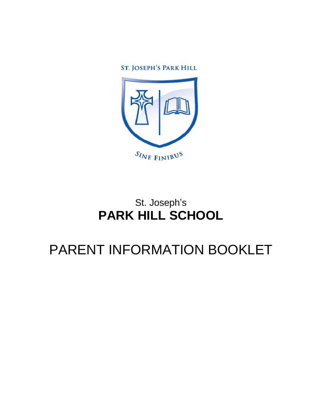ST. JOSEPH'S PARK HILL



## St. Joseph's **PARK HILL SCHOOL**

# PARENT INFORMATION BOOKLET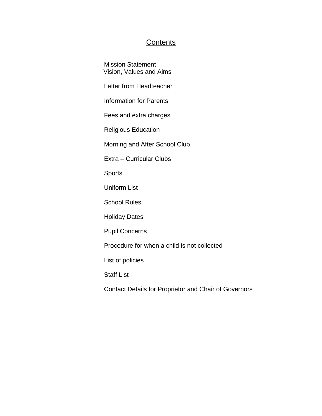## **Contents**

Mission Statement Vision, Values and Aims

Letter from Headteacher

Information for Parents

Fees and extra charges

Religious Education

Morning and After School Club

Extra – Curricular Clubs

**Sports** 

Uniform List

School Rules

Holiday Dates

Pupil Concerns

Procedure for when a child is not collected

List of policies

Staff List

Contact Details for Proprietor and Chair of Governors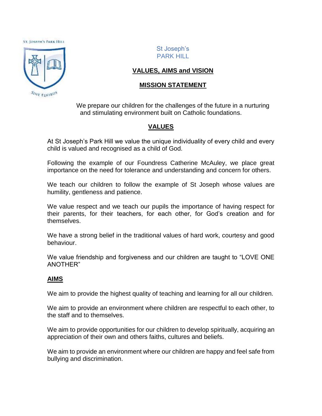**ST. JOSEPH'S PARK HILL** 



St Joseph's PARK HILL

## **VALUES, AIMS and VISION**

## **MISSION STATEMENT**

We prepare our children for the challenges of the future in a nurturing and stimulating environment built on Catholic foundations.

## **VALUES**

At St Joseph's Park Hill we value the unique individuality of every child and every child is valued and recognised as a child of God.

Following the example of our Foundress Catherine McAuley, we place great importance on the need for tolerance and understanding and concern for others.

We teach our children to follow the example of St Joseph whose values are humility, gentleness and patience.

We value respect and we teach our pupils the importance of having respect for their parents, for their teachers, for each other, for God's creation and for themselves.

We have a strong belief in the traditional values of hard work, courtesy and good behaviour.

We value friendship and forgiveness and our children are taught to "LOVE ONE ANOTHER"

## **AIMS**

We aim to provide the highest quality of teaching and learning for all our children.

We aim to provide an environment where children are respectful to each other, to the staff and to themselves.

We aim to provide opportunities for our children to develop spiritually, acquiring an appreciation of their own and others faiths, cultures and beliefs.

We aim to provide an environment where our children are happy and feel safe from bullying and discrimination.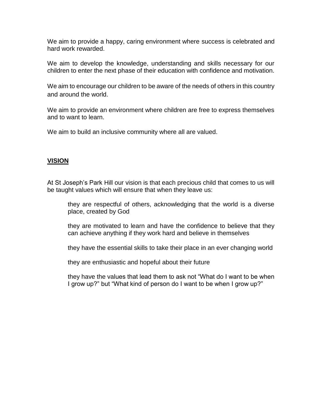We aim to provide a happy, caring environment where success is celebrated and hard work rewarded.

We aim to develop the knowledge, understanding and skills necessary for our children to enter the next phase of their education with confidence and motivation.

We aim to encourage our children to be aware of the needs of others in this country and around the world.

We aim to provide an environment where children are free to express themselves and to want to learn.

We aim to build an inclusive community where all are valued.

## **VISION**

At St Joseph's Park Hill our vision is that each precious child that comes to us will be taught values which will ensure that when they leave us:

they are respectful of others, acknowledging that the world is a diverse place, created by God

they are motivated to learn and have the confidence to believe that they can achieve anything if they work hard and believe in themselves

they have the essential skills to take their place in an ever changing world

they are enthusiastic and hopeful about their future

they have the values that lead them to ask not "What do I want to be when I grow up?" but "What kind of person do I want to be when I grow up?"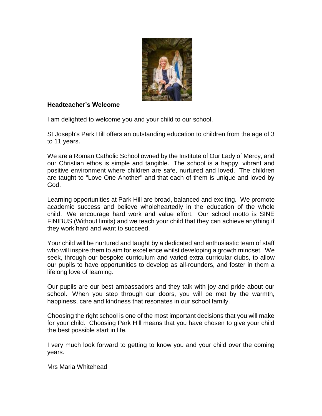

## **Headteacher's Welcome**

I am delighted to welcome you and your child to our school.

St Joseph's Park Hill offers an outstanding education to children from the age of 3 to 11 years.

We are a Roman Catholic School owned by the Institute of Our Lady of Mercy, and our Christian ethos is simple and tangible. The school is a happy, vibrant and positive environment where children are safe, nurtured and loved. The children are taught to "Love One Another" and that each of them is unique and loved by God.

Learning opportunities at Park Hill are broad, balanced and exciting. We promote academic success and believe wholeheartedly in the education of the whole child. We encourage hard work and value effort. Our school motto is SINE FINIBUS (Without limits) and we teach your child that they can achieve anything if they work hard and want to succeed.

Your child will be nurtured and taught by a dedicated and enthusiastic team of staff who will inspire them to aim for excellence whilst developing a growth mindset. We seek, through our bespoke curriculum and varied extra-curricular clubs, to allow our pupils to have opportunities to develop as all-rounders, and foster in them a lifelong love of learning.

Our pupils are our best ambassadors and they talk with joy and pride about our school. When you step through our doors, you will be met by the warmth, happiness, care and kindness that resonates in our school family.

Choosing the right school is one of the most important decisions that you will make for your child. Choosing Park Hill means that you have chosen to give your child the best possible start in life.

I very much look forward to getting to know you and your child over the coming years.

Mrs Maria Whitehead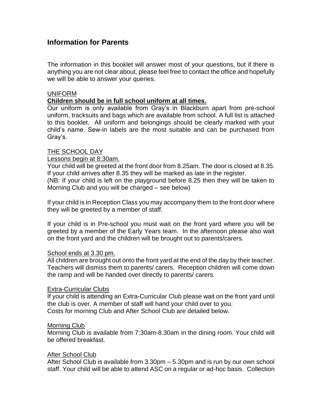## **Information for Parents**

The information in this booklet will answer most of your questions, but if there is anything you are not clear about, please feel free to contact the office and hopefully we will be able to answer your queries.

## UNIFORM

## **Children should be in full school uniform at all times.**

Our uniform is only available from Gray's in Blackburn apart from pre-school uniform, tracksuits and bags which are available from school. A full list is attached to this booklet. All uniform and belongings should be clearly marked with your child's name. Sew-in labels are the most suitable and can be purchased from Gray's.

## THE SCHOOL DAY

## Lessons begin at 8:30am.

Your child will be greeted at the front door from 8.25am. The door is closed at 8.35. If your child arrives after 8.35 they will be marked as late in the register. (NB: If your child is left on the playground before 8.25 then they will be taken to Morning Club and you will be charged – see below)

If your child is in Reception Class you may accompany them to the front door where they will be greeted by a member of staff.

If your child is in Pre-school you must wait on the front yard where you will be greeted by a member of the Early Years team. In the afternoon please also wait on the front yard and the children will be brought out to parents/carers.

## School ends at 3.30 pm.

All children are brought out onto the front yard at the end of the day by their teacher. Teachers will dismiss them to parents/ carers. Reception children will come down the ramp and will be handed over directly to parents/ carers.

#### Extra-Curricular Clubs

If your child is attending an Extra-Curricular Club please wait on the front yard until the club is over. A member of staff will hand your child over to you. Costs for morning Club and After School Club are detailed below.

#### Morning Club

Morning Club is available from 7:30am-8.30am in the dining room. Your child will be offered breakfast.

## After School Club

After School Club is available from 3.30pm – 5.30pm and is run by our own school staff. Your child will be able to attend ASC on a regular or ad-hoc basis. Collection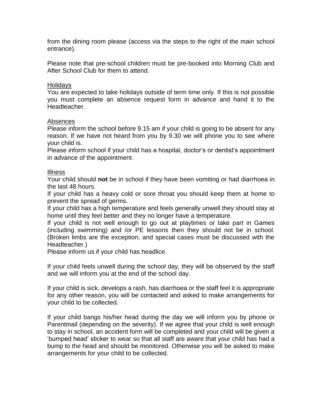from the dining room please (access via the steps to the right of the main school entrance).

Please note that pre-school children must be pre-booked into Morning Club and After School Club for them to attend.

## Holidays

You are expected to take holidays outside of term time only. If this is not possible you must complete an absence request form in advance and hand it to the Headteacher.

## Absences

Please inform the school before 9.15 am if your child is going to be absent for any reason. If we have not heard from you by 9.30 we will phone you to see where your child is.

Please inform school if your child has a hospital, doctor's or dentist's appointment in advance of the appointment.

## Illness

Your child should **not** be in school if they have been vomiting or had diarrhoea in the last 48 hours.

If your child has a heavy cold or sore throat you should keep them at home to prevent the spread of germs.

If your child has a high temperature and feels generally unwell they should stay at home until they feel better and they no longer have a temperature.

If your child is not well enough to go out at playtimes or take part in Games (including swimming) and /or PE lessons then they should not be in school. (Broken limbs are the exception, and special cases must be discussed with the Headteacher.)

Please inform us if your child has headlice.

If your child feels unwell during the school day, they will be observed by the staff and we will inform you at the end of the school day.

If your child is sick, develops a rash, has diarrhoea or the staff feel it is appropriate for any other reason, you will be contacted and asked to make arrangements for your child to be collected.

If your child bangs his/her head during the day we will inform you by phone or Parentmail (depending on the severity). If we agree that your child is well enough to stay in school, an accident form will be completed and your child will be given a 'bumped head' sticker to wear so that all staff are aware that your child has had a bump to the head and should be monitored. Otherwise you will be asked to make arrangements for your child to be collected.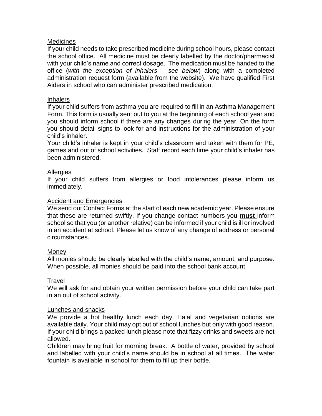## **Medicines**

If your child needs to take prescribed medicine during school hours, please contact the school office. All medicine must be clearly labelled by the doctor/pharmacist with your child's name and correct dosage. The medication must be handed to the office (*with the exception of inhalers – see below*) along with a completed administration request form (available from the website). We have qualified First Aiders in school who can administer prescribed medication.

## Inhalers

If your child suffers from asthma you are required to fill in an Asthma Management Form. This form is usually sent out to you at the beginning of each school year and you should inform school if there are any changes during the year. On the form you should detail signs to look for and instructions for the administration of your child's inhaler.

Your child's inhaler is kept in your child's classroom and taken with them for PE, games and out of school activities. Staff record each time your child's inhaler has been administered.

## **Allergies**

If your child suffers from allergies or food intolerances please inform us immediately.

## Accident and Emergencies

We send out Contact Forms at the start of each new academic year. Please ensure that these are returned swiftly. If you change contact numbers you **must** inform school so that you (or another relative) can be informed if your child is ill or involved in an accident at school. Please let us know of any change of address or personal circumstances.

## **Money**

All monies should be clearly labelled with the child's name, amount, and purpose. When possible, all monies should be paid into the school bank account.

## **Travel**

We will ask for and obtain your written permission before your child can take part in an out of school activity.

## Lunches and snacks

We provide a hot healthy lunch each day. Halal and vegetarian options are available daily. Your child may opt out of school lunches but only with good reason. If your child brings a packed lunch please note that fizzy drinks and sweets are not allowed.

Children may bring fruit for morning break. A bottle of water, provided by school and labelled with your child's name should be in school at all times. The water fountain is available in school for them to fill up their bottle.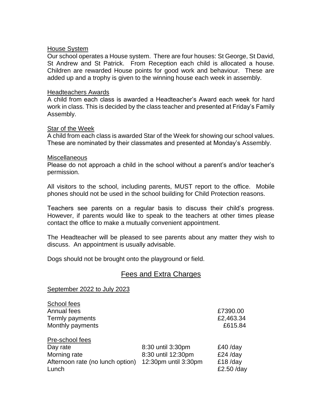#### House System

Our school operates a House system. There are four houses: St George, St David, St Andrew and St Patrick. From Reception each child is allocated a house. Children are rewarded House points for good work and behaviour. These are added up and a trophy is given to the winning house each week in assembly.

#### Headteachers Awards

A child from each class is awarded a Headteacher's Award each week for hard work in class. This is decided by the class teacher and presented at Friday's Family Assembly.

## Star of the Week

A child from each class is awarded Star of the Week for showing our school values. These are nominated by their classmates and presented at Monday's Assembly.

#### Miscellaneous

Please do not approach a child in the school without a parent's and/or teacher's permission.

All visitors to the school, including parents, MUST report to the office. Mobile phones should not be used in the school building for Child Protection reasons.

Teachers see parents on a regular basis to discuss their child's progress. However, if parents would like to speak to the teachers at other times please contact the office to make a mutually convenient appointment.

The Headteacher will be pleased to see parents about any matter they wish to discuss. An appointment is usually advisable.

Dogs should not be brought onto the playground or field.

## Fees and Extra Charges

#### September 2022 to July 2023

| School fees                      |                      |            |
|----------------------------------|----------------------|------------|
| Annual fees                      |                      | £7390.00   |
| Termly payments                  |                      | £2,463.34  |
| Monthly payments                 |                      | £615.84    |
| Pre-school fees                  |                      |            |
| Day rate                         | 8:30 until 3:30pm    | $£40$ /day |
| Morning rate                     | 8:30 until 12:30pm   | $£24$ /day |
| Afternoon rate (no lunch option) | 12:30pm until 3:30pm | $£18$ /day |
| Lunch                            |                      | £2.50 /day |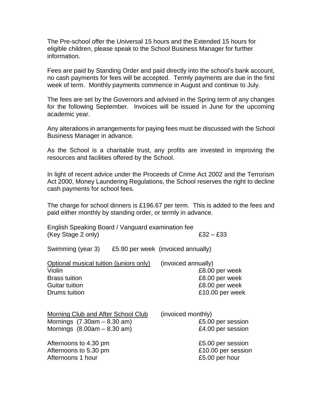The Pre-school offer the Universal 15 hours and the Extended 15 hours for eligible children, please speak to the School Business Manager for further information.

Fees are paid by Standing Order and paid directly into the school's bank account, no cash payments for fees will be accepted. Termly payments are due in the first week of term. Monthly payments commence in August and continue to July.

The fees are set by the Governors and advised in the Spring term of any changes for the following September. Invoices will be issued in June for the upcoming academic year.

Any alterations in arrangements for paying fees must be discussed with the School Business Manager in advance.

As the School is a charitable trust, any profits are invested in improving the resources and facilities offered by the School.

In light of recent advice under the Proceeds of Crime Act 2002 and the Terrorism Act 2000, Money Laundering Regulations, the School reserves the right to decline cash payments for school fees.

The charge for school dinners is £196.67 per term. This is added to the fees and paid either monthly by standing order, or termly in advance.

English Speaking Board / Vanguard examination fee (Key Stage 2 only)  $£32 - £33$ 

Swimming (year 3) £5.90 per week (invoiced annually)

| Optional musical tuition (juniors only) | (invoiced annually) |
|-----------------------------------------|---------------------|
| Violin                                  | £8.00 per week      |
| <b>Brass tuition</b>                    | £8.00 per week      |
| <b>Guitar tuition</b>                   | £8.00 per week      |
| Drums tuition                           | £10.00 per week     |
|                                         |                     |

| Morning Club and After School Club | (invoiced monthly) |
|------------------------------------|--------------------|
| Mornings $(7.30am - 8.30 am)$      | £5.00 per session  |
| Mornings $(8.00am - 8.30 am)$      | £4.00 per session  |
| Afternoons to 4.30 pm              | £5.00 per session  |
| Afternoons to 5.30 pm              | £10.00 per session |
| Afternoons 1 hour                  | £5.00 per hour     |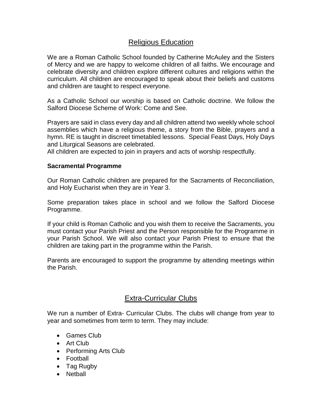## Religious Education

We are a Roman Catholic School founded by Catherine McAuley and the Sisters of Mercy and we are happy to welcome children of all faiths. We encourage and celebrate diversity and children explore different cultures and religions within the curriculum. All children are encouraged to speak about their beliefs and customs and children are taught to respect everyone.

As a Catholic School our worship is based on Catholic doctrine. We follow the Salford Diocese Scheme of Work: Come and See.

Prayers are said in class every day and all children attend two weekly whole school assemblies which have a religious theme, a story from the Bible, prayers and a hymn. RE is taught in discreet timetabled lessons. Special Feast Days, Holy Days and Liturgical Seasons are celebrated.

All children are expected to join in prayers and acts of worship respectfully.

## **Sacramental Programme**

Our Roman Catholic children are prepared for the Sacraments of Reconciliation, and Holy Eucharist when they are in Year 3.

Some preparation takes place in school and we follow the Salford Diocese Programme.

If your child is Roman Catholic and you wish them to receive the Sacraments, you must contact your Parish Priest and the Person responsible for the Programme in your Parish School. We will also contact your Parish Priest to ensure that the children are taking part in the programme within the Parish.

Parents are encouraged to support the programme by attending meetings within the Parish.

## Extra-Curricular Clubs

We run a number of Extra- Curricular Clubs. The clubs will change from year to year and sometimes from term to term. They may include:

- Games Club
- Art Club
- Performing Arts Club
- Football
- Tag Rugby
- Netball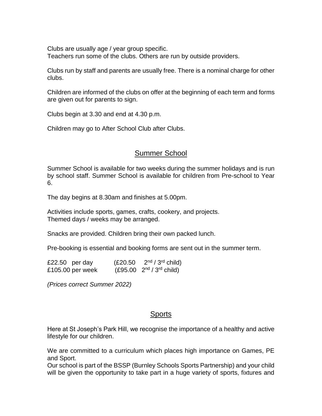Clubs are usually age / year group specific. Teachers run some of the clubs. Others are run by outside providers.

Clubs run by staff and parents are usually free. There is a nominal charge for other clubs.

Children are informed of the clubs on offer at the beginning of each term and forms are given out for parents to sign.

Clubs begin at 3.30 and end at 4.30 p.m.

Children may go to After School Club after Clubs.

## Summer School

Summer School is available for two weeks during the summer holidays and is run by school staff. Summer School is available for children from Pre-school to Year 6.

The day begins at 8.30am and finishes at 5.00pm.

Activities include sports, games, crafts, cookery, and projects. Themed days / weeks may be arranged.

Snacks are provided. Children bring their own packed lunch.

Pre-booking is essential and booking forms are sent out in the summer term.

| £22.50 per day   | (E20.50) | $2nd / 3rd$ child)            |
|------------------|----------|-------------------------------|
| £105.00 per week |          | $(E95.00 \t 2nd / 3rd child)$ |

*(Prices correct Summer 2022)*

## **Sports**

Here at St Joseph's Park Hill, we recognise the importance of a healthy and active lifestyle for our children.

We are committed to a curriculum which places high importance on Games, PE and Sport.

Our school is part of the BSSP (Burnley Schools Sports Partnership) and your child will be given the opportunity to take part in a huge variety of sports, fixtures and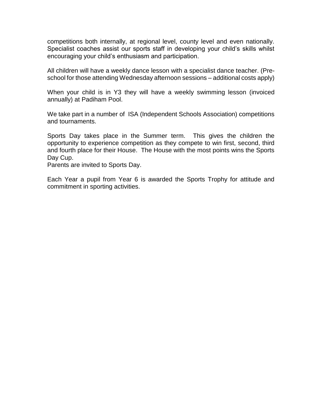competitions both internally, at regional level, county level and even nationally. Specialist coaches assist our sports staff in developing your child's skills whilst encouraging your child's enthusiasm and participation.

All children will have a weekly dance lesson with a specialist dance teacher. (Preschool for those attending Wednesday afternoon sessions – additional costs apply)

When your child is in Y3 they will have a weekly swimming lesson (invoiced annually) at Padiham Pool.

We take part in a number of ISA (Independent Schools Association) competitions and tournaments.

Sports Day takes place in the Summer term. This gives the children the opportunity to experience competition as they compete to win first, second, third and fourth place for their House. The House with the most points wins the Sports Day Cup.

Parents are invited to Sports Day.

Each Year a pupil from Year 6 is awarded the Sports Trophy for attitude and commitment in sporting activities.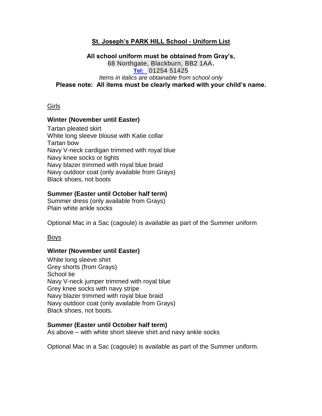## **St. Joseph's PARK HILL School - Uniform List**

## **All school uniform must be obtained from Gray's,** 68 Northgate, Blackburn, BB2 1AA**. [Tel:](dial:%200125451425)** 01254 51425 *Items in italics are obtainable from school only* **Please note: All items must be clearly marked with your child's name.**

## Girls

#### **Winter (November until Easter)**

Tartan pleated skirt White long sleeve blouse with Katie collar Tartan bow Navy V-neck cardigan trimmed with royal blue Navy knee socks or tights Navy blazer trimmed with royal blue braid Navy outdoor coat (only available from Grays) Black shoes, not boots

## **Summer (Easter until October half term)**

Summer dress (only available from Grays) Plain white ankle socks

Optional Mac in a Sac (cagoule) is available as part of the Summer uniform

#### Boys

#### **Winter (November until Easter)**

White long sleeve shirt Grey shorts (from Grays) School tie Navy V-neck jumper trimmed with royal blue Grey knee socks with navy stripe Navy blazer trimmed with royal blue braid Navy outdoor coat (only available from Grays) Black shoes, not boots.

#### **Summer (Easter until October half term)**

As above – with white short sleeve shirt and navy ankle socks

Optional Mac in a Sac (cagoule) is available as part of the Summer uniform.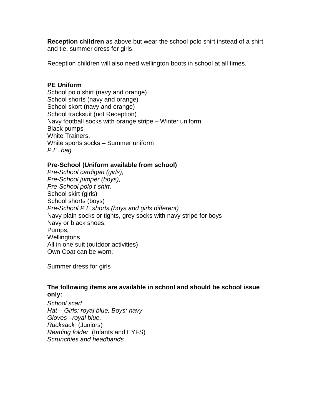**Reception children** as above but wear the school polo shirt instead of a shirt and tie, summer dress for girls.

Reception children will also need wellington boots in school at all times.

## **PE Uniform**

School polo shirt (navy and orange) School shorts (navy and orange) School skort (navy and orange) School tracksuit (not Reception) Navy football socks with orange stripe – Winter uniform Black pumps White Trainers, White sports socks – Summer uniform *P.E. bag* 

## **Pre-School (Uniform available from school)**

*Pre-School cardigan (girls), Pre-School jumper (boys), Pre-School polo t-shirt,* School skirt (girls) School shorts (boys) *Pre-School P E shorts (boys and girls different)* Navy plain socks or tights, grey socks with navy stripe for boys Navy or black shoes, Pumps, Wellingtons All in one suit (outdoor activities) Own Coat can be worn.

Summer dress for girls

## **The following items are available in school and should be school issue only:**

*School scarf Hat – Girls: royal blue, Boys: navy Gloves –royal blue, Rucksack* (Juniors) *Reading folder* (Infants and EYFS) *Scrunchies and headbands*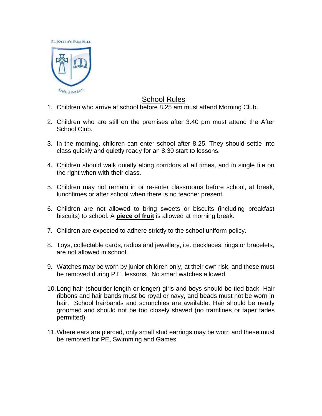

## School Rules

- 1. Children who arrive at school before 8.25 am must attend Morning Club.
- 2. Children who are still on the premises after 3.40 pm must attend the After School Club.
- 3. In the morning, children can enter school after 8.25. They should settle into class quickly and quietly ready for an 8.30 start to lessons.
- 4. Children should walk quietly along corridors at all times, and in single file on the right when with their class.
- 5. Children may not remain in or re-enter classrooms before school, at break, lunchtimes or after school when there is no teacher present.
- 6. Children are not allowed to bring sweets or biscuits (including breakfast biscuits) to school. A **piece of fruit** is allowed at morning break.
- 7. Children are expected to adhere strictly to the school uniform policy.
- 8. Toys, collectable cards, radios and jewellery, i.e. necklaces, rings or bracelets, are not allowed in school.
- 9. Watches may be worn by junior children only, at their own risk, and these must be removed during P.E. lessons. No smart watches allowed.
- 10.Long hair (shoulder length or longer) girls and boys should be tied back. Hair ribbons and hair bands must be royal or navy, and beads must not be worn in hair. School hairbands and scrunchies are available. Hair should be neatly groomed and should not be too closely shaved (no tramlines or taper fades permitted).
- 11.Where ears are pierced, only small stud earrings may be worn and these must be removed for PE, Swimming and Games.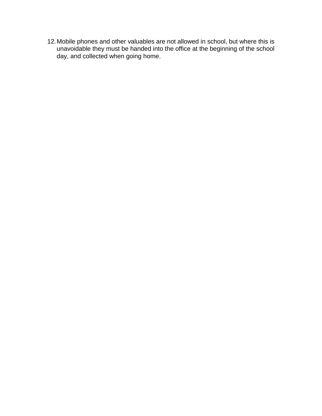12.Mobile phones and other valuables are not allowed in school, but where this is unavoidable they must be handed into the office at the beginning of the school day, and collected when going home.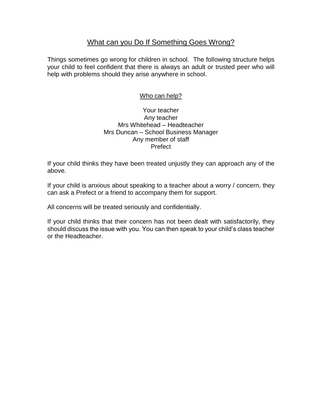## What can you Do If Something Goes Wrong?

Things sometimes go wrong for children in school. The following structure helps your child to feel confident that there is always an adult or trusted peer who will help with problems should they arise anywhere in school.

## Who can help?

## Your teacher Any teacher Mrs Whitehead – Headteacher Mrs Duncan – School Business Manager Any member of staff Prefect

If your child thinks they have been treated unjustly they can approach any of the above.

If your child is anxious about speaking to a teacher about a worry / concern, they can ask a Prefect or a friend to accompany them for support.

All concerns will be treated seriously and confidentially.

If your child thinks that their concern has not been dealt with satisfactorily, they should discuss the issue with you. You can then speak to your child's class teacher or the Headteacher.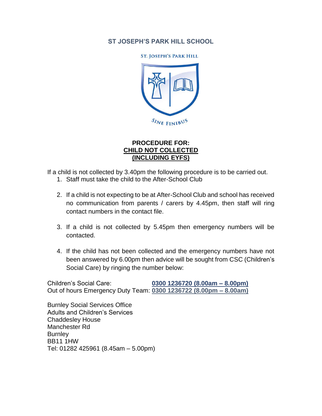## **ST JOSEPH'S PARK HILL SCHOOL**

**ST. JOSEPH'S PARK HILL** 



## **PROCEDURE FOR: CHILD NOT COLLECTED (INCLUDING EYFS)**

If a child is not collected by 3.40pm the following procedure is to be carried out.

- 1. Staff must take the child to the After-School Club
- 2. If a child is not expecting to be at After-School Club and school has received no communication from parents / carers by 4.45pm, then staff will ring contact numbers in the contact file.
- 3. If a child is not collected by 5.45pm then emergency numbers will be contacted.
- 4. If the child has not been collected and the emergency numbers have not been answered by 6.00pm then advice will be sought from CSC (Children's Social Care) by ringing the number below:

Children's Social Care: **0300 1236720 (8.00am – 8.00pm)** Out of hours Emergency Duty Team: **0300 1236722 (8.00pm – 8.00am)**

Burnley Social Services Office Adults and Children's Services Chaddesley House Manchester Rd **Burnley** BB11 1HW Tel: 01282 425961 (8.45am – 5.00pm)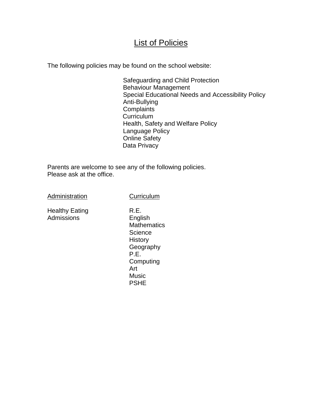## **List of Policies**

The following policies may be found on the school website:

Safeguarding and Child Protection Behaviour Management Special Educational Needs and Accessibility Policy Anti-Bullying **Complaints Curriculum** Health, Safety and Welfare Policy Language Policy Online Safety Data Privacy

Parents are welcome to see any of the following policies. Please ask at the office.

Administration

**Curriculum** 

Healthy Eating Admissions

R.E. English **Mathematics Science History Geography** P.E. **Computing** Art Music PSHE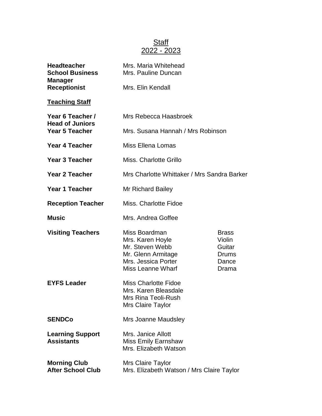## Staff 2022 - 2023

| <b>Headteacher</b><br><b>School Business</b><br><b>Manager</b> | Mrs. Maria Whitehead<br>Mrs. Pauline Duncan<br>Mrs. Elin Kendall                                                              |                                                             |
|----------------------------------------------------------------|-------------------------------------------------------------------------------------------------------------------------------|-------------------------------------------------------------|
| <b>Receptionist</b>                                            |                                                                                                                               |                                                             |
| <b>Teaching Staff</b>                                          |                                                                                                                               |                                                             |
| Year 6 Teacher /<br><b>Head of Juniors</b>                     | Mrs Rebecca Haasbroek                                                                                                         |                                                             |
| <b>Year 5 Teacher</b>                                          | Mrs. Susana Hannah / Mrs Robinson                                                                                             |                                                             |
| <b>Year 4 Teacher</b>                                          | <b>Miss Ellena Lomas</b>                                                                                                      |                                                             |
| <b>Year 3 Teacher</b>                                          | Miss. Charlotte Grillo                                                                                                        |                                                             |
| <b>Year 2 Teacher</b>                                          | Mrs Charlotte Whittaker / Mrs Sandra Barker                                                                                   |                                                             |
| <b>Year 1 Teacher</b>                                          | <b>Mr Richard Bailey</b>                                                                                                      |                                                             |
| <b>Reception Teacher</b>                                       | Miss. Charlotte Fidoe                                                                                                         |                                                             |
| <b>Music</b>                                                   | Mrs. Andrea Goffee                                                                                                            |                                                             |
| <b>Visiting Teachers</b>                                       | Miss Boardman<br>Mrs. Karen Hoyle<br>Mr. Steven Webb<br>Mr. Glenn Armitage<br>Mrs. Jessica Porter<br><b>Miss Leanne Wharf</b> | <b>Brass</b><br>Violin<br>Guitar<br>Drums<br>Dance<br>Drama |
| <b>EYFS Leader</b>                                             | <b>Miss Charlotte Fidoe</b><br>Mrs. Karen Bleasdale<br>Mrs Rina Teoli-Rush<br><b>Mrs Claire Taylor</b>                        |                                                             |
| <b>SENDCo</b>                                                  | Mrs Joanne Maudsley                                                                                                           |                                                             |
| <b>Learning Support</b><br><b>Assistants</b>                   | Mrs. Janice Allott<br><b>Miss Emily Earnshaw</b><br>Mrs. Elizabeth Watson                                                     |                                                             |
| <b>Morning Club</b><br><b>After School Club</b>                | <b>Mrs Claire Taylor</b><br>Mrs. Elizabeth Watson / Mrs Claire Taylor                                                         |                                                             |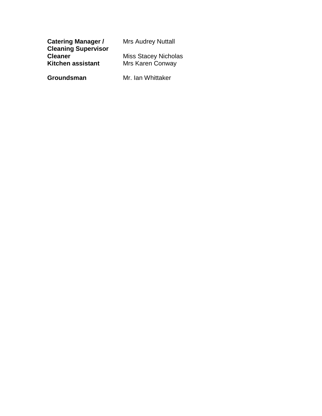| <b>Catering Manager /</b>  | <b>Mrs Audrey Nuttall</b>   |
|----------------------------|-----------------------------|
| <b>Cleaning Supervisor</b> |                             |
| <b>Cleaner</b>             | <b>Miss Stacey Nicholas</b> |
| Kitchen assistant          | <b>Mrs Karen Conway</b>     |
|                            |                             |

**Groundsman** Mr. Ian Whittaker